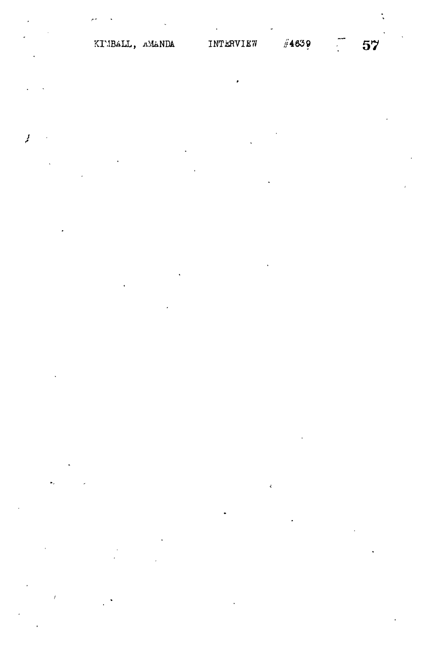KIMBALL, AMANDA

لمحر

 $\epsilon$ 

 $57$ 

 $\frac{1}{2}$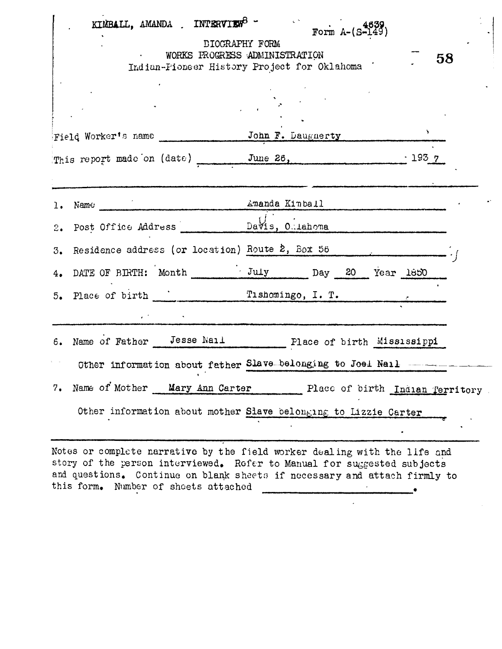| KIMBALL, AMANDA . INTERVIEW <sup>8</sup><br><b>DIOGRAPHY FORM</b>                                                                                                        | Form $A - (S-149)$<br>WORKS FROGRESS ADMINISTRATION<br>58<br>Indian-Pioneer History Project for Oklahoma                                                                                                                                                                                                                 |
|--------------------------------------------------------------------------------------------------------------------------------------------------------------------------|--------------------------------------------------------------------------------------------------------------------------------------------------------------------------------------------------------------------------------------------------------------------------------------------------------------------------|
|                                                                                                                                                                          |                                                                                                                                                                                                                                                                                                                          |
|                                                                                                                                                                          | This report made on (date) $\frac{June 26}{June 26}$ 1937                                                                                                                                                                                                                                                                |
| ı.<br>2. Post Office Address Davis, O. Lahoma<br>4. DATE OF BIRTH: Month July Day 20 Year 1850<br>5.<br>$\mathbf{z}^{(n)}$ and $\mathbf{z}^{(n)}$ and $\mathbf{z}^{(n)}$ | Name Amanda Kinball American contract to the American American American contract of the Manual American contract of the Manual American contract of the Manual American contract of the Manual American contract of the Manual<br>3. Residence address (or location) Route 2, Box 56<br>Place of birth Tishomingo, I. T. |
| 6.<br>Name of Mother Mary Ann Carter<br>7.                                                                                                                               | Name of Father Jesse Nail Place of birth Mississippi<br>Other information about father Slave-belonging to Joei Nail ---------<br>Place of birth Indian Territory<br>Other information about mother Slave belonging to Lizzie Carter                                                                                      |

Notes or complete narrative by the field worker dealing with the life and story of the person interviewed. Refer to Manual for suggested subjects and questions. Continue on blank sheets if necessary and attach firmly to this form. Number of sheets attached • .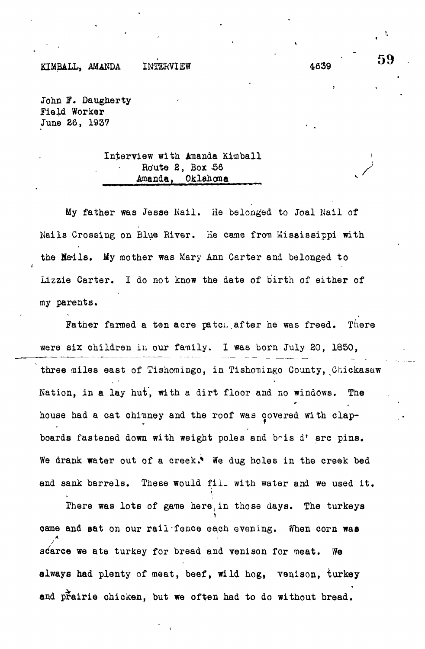### KIMBALL, AMANDA INTERVIEW 4639

John F. Daugherty Field Worker June 26, 1937

## Interview with Amanda Klmball Route 2, Box 56 Amanda, Oklahoma

My father was Jesse Kail. He belonged to Joal Kail of Nails Crossing on Blue River. He came from Mississippi with the Harils, My mother was Mary Ann Carter and belonged to Lizzie Carter. I do not know the date of birth of either of my parents.

Father farmed a ten acre patch after he was freed. There were six children in our family. I was born July 20, 1850, three miles east of Tishomingo, in Tishomingo County, Chickasaw Nation, in a lay hut, with a dirt floor and no windows. The house had a cat chimney and the roof was covered with clapboards fastened down with weight poles and bois d' arc pins. We drank water out of a creek.\* We dug holes in the creek bed and sank barrels. These would fil. with water and we used it.

There was lots of game here, in those days. The turkeys came and sat on our rail fence each evening. When corn was  $\mathcal{L}$  can eat on our rail-fence each evening. When corn was the corn watter watter was the corn watter was the corn watter was the corn watter was the corn watter was the corn watter was the corn watter was the corn wa We scarce we ate turkey for bread and venison for meat. We and prairie chicken, but we often had to do without bread.

 $\mathbf{r}$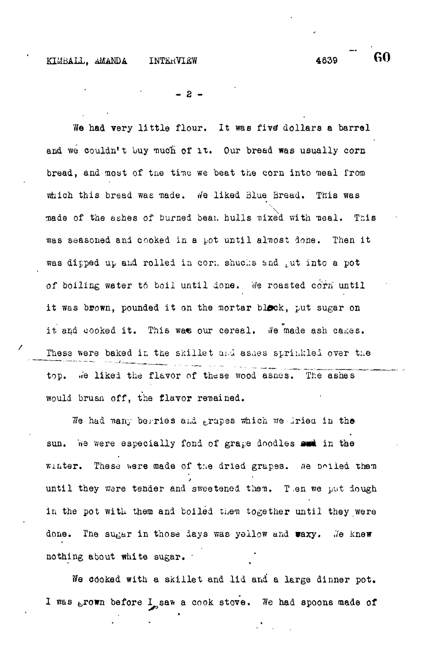$- 2 -$ 

We had very little flour. It was five dollars a barrel and we couldn't buy much of it. Our bread was usually corn bread, and most of the time we beat the corn into meal from which this bread was nade. We liked Blue Bread. This was made of the ashes of burned bean hulls mixed with meal. This was seasoned and cooked in a pot until almost done. Then it was dipped up and rolled in cor. shuchs and  $\mu$ ut into a pot of boiling water to boil until done. We roasted corn until it was brown, pounded it on the mortar block, put sugar on it and cooked it. This was our cereal. We made ash cakes. These were baked in the skillet and ashes sprinkled over the top. n'e liked the fl&vor of these wood asnes. The ashes would brusn off, the flavor renained.

We had many berries and grapss which we dried in thesun. We were especially fond of grape doodles and in the winter. These were made of the dried grapes. We boiled them until they were tender and sweetened then. Then we put dough in the pot with them and boiled them together until they were done. The sugar in those days was yellow and waxy. We knew nothing about white sugar.

We cooked with a skillet and lid and a large dinner pot. I was  $E$ rown before  $I$  saw a cook stove. We had spoons made of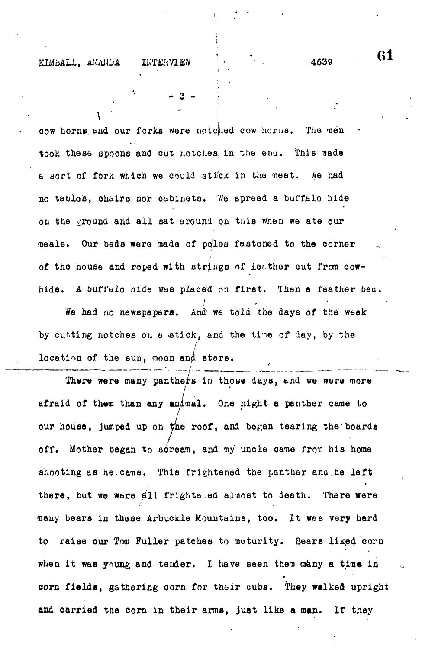# KIMBATT' MEDIANT IKIRUATEN ' + 4000

 $\mathbf{v} = \mathbf{v} \cdot \mathbf{v}$ cow horns, and our forks were notcjhed cow horns. The men took these spoons and cut notches; in the enu. This made a aort of fork which we could stick in the 'neat. *He* had no tables, chairs nor cabinets. We spread a buffalo hide on the ground and al l sat around on this when we ate our meals. Our beds were made of poles fastened to the corner of the house and roped with strings of leather cut from cowhide. A buffalo hide was placed on **first.** Then a feather beu.

**I**

**- 3 -**

we had no newspapers. And we cord the days of the week by cutting notches on a stick, and the time of day, by the //  $\frac{1}{\sqrt{1-\frac{1}{\sqrt{1-\frac{1}{\sqrt{1-\frac{1}{\sqrt{1-\frac{1}{\sqrt{1-\frac{1}{\sqrt{1-\frac{1}{\sqrt{1-\frac{1}{\sqrt{1-\frac{1}{\sqrt{1-\frac{1}{\sqrt{1-\frac{1}{\sqrt{1-\frac{1}{\sqrt{1-\frac{1}{\sqrt{1-\frac{1}{\sqrt{1-\frac{1}{\sqrt{1-\frac{1}{\sqrt{1-\frac{1}{\sqrt{1-\frac{1}{\sqrt{1-\frac{1}{\sqrt{1-\frac{1}{\sqrt{1-\frac{1}{\sqrt{1-\frac{1}{\sqrt{1-\frac{1}{\sqrt{1-\frac{1}{\sqrt{1-\frac{1$ 

There were many panthers in those days, and we were more  $/$  . afraid of them than any animal. One night a panther came to our house, jumped up on the roof, and began tearing the boards off. Mother began to scream, and my uncle came from his home shooting as he.came. This frightened the panther and he left there, but we were all frightened almost to death. There were many bears in these Arbuckle Mountains, too. It was very hard to raise our Tom Fuller patches to maturity. Bears liked corn when it was young and tender. I have seen them many a time in corn fiaida, gathering corn for thoir cubs. They walked upright and carried the corn in their arms, Just like a man. If they

**Gl**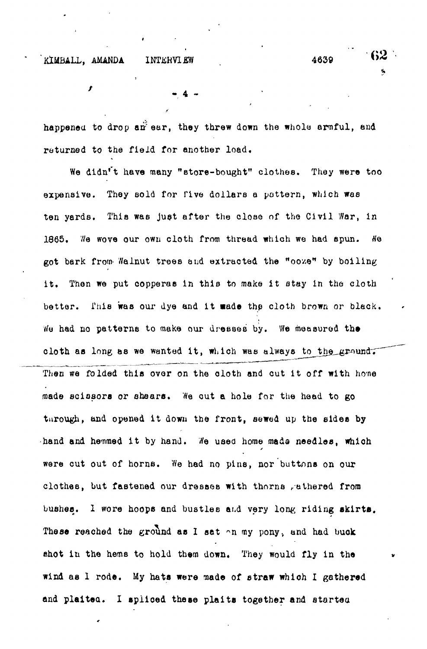### KIMBALL, AMANDA INTERVIEW . 4639

**-.• -**

happened to drop an ear, they threw down the whole armful, and returned to the field for another load.

We didn't have many "store-bought" clothes. They were too expensive. They sold for five dollars a pattern, which was ten yards. This was Just after the close of the Civil War, in 1865, *He* wove our own cloth from thread which we had spun. *ti&* got bark from Walnut trees and extracted the "ooze" by boiling it. Then we put copperas in this to make it stay in the cloth better. This was our dye and it made the cloth brown or black. Wo had no patterns to make our dreases by. We measured the cloth as long as we wanted it, which was always to the ground. Then we folded this over on the cloth and cut it off with home made scissors or shears. We out a hole for the head to go through, and opened it down the front, sewed up the sides by hand and hemmed it by hand. We used home made needles, which were cut out of horns. We had no pins, nor buttons on our clothes, but fastened our dresses with thorns gathered from bushes. I wore hoops and bustles and very long riding skirts. These reached the ground as I sat  $\gamma$ n my pony, and had buck ehot in the hems to hold them down. They would fly in the wind as 1 rode. My hats were made of straw which I gathered and plaitea. 1 spiioed these plaits together and startea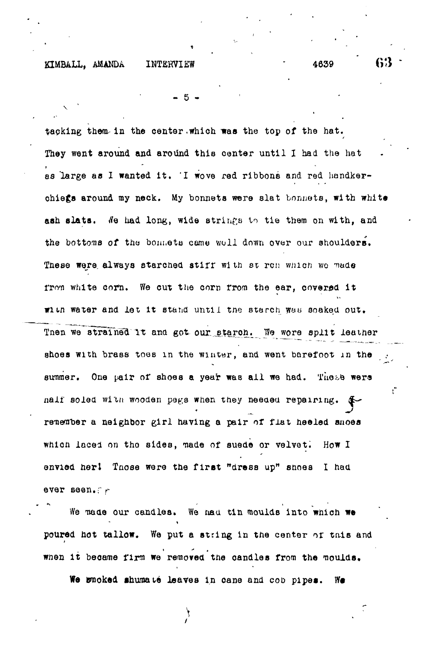KIMBALL, AMANDA INTERVIEW

tacking them in the center which was the top of the hat. They went around and around this center until I had the hat as large as I wanted it. 'I wove red ribbons and red handkerchiegs around my neck. My bonnets were slat bonnets, with white ash slats. Ne had long, wide strings to tie them on with, and the bottoms of the bonnets came woll down over our shoulders. These were always starched stiff with st ron which we made from white corn. We cut the corn from the ear, covered it with water and let it stand until the starch was soaked out. Then we strained it and got our starch. We wore split leather shoes with brass toes in the winter, and went barefoot in the summer. One pair of shoes a year was all we had. These were nalf soled with wooden pegs when they needed repairing. renember a neighbor girl having a pair of flat heeled snoes which laced on the sides, made of suede or velvet. How I envied her! Those were the first "dress up" shoes I had ever seen.fr

We made our candles. We had tin moulds into which we poured hot tallow. We put a string in the center of this and when it became firm we removed the candles from the moulds.

We snoked shumate leaves in cane and cob pipes. We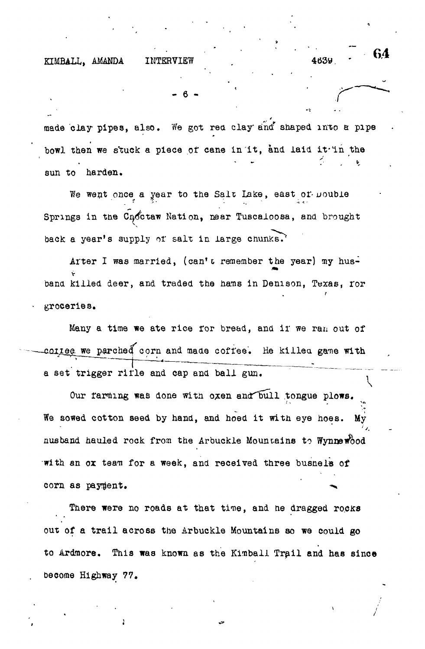#### KIMBALL, AMANDA INTERVIEW . 4639

made clay pipes, also. We got red clay and shaped into a pipe bowl then we stuck a piece of cane in it, and laid it in the sun to harden.

- 6 -

We went once a year to the Salt Lake, east or bouble Springs in the Cnoctaw Nation, near Tuscaloosa, and brought back a year's supply of salt in large chunks.

Arter I was married, (can't remember the year) my hus-**V** band killed deer, and traded the hams in Denison, Texas, for groceries.

Many a time we ate rice for bread, and if we ran out of conlee we parched corn and made coffee. He killed game with a set trigger rifle and cap and ball gun.

Our farming was done with oxen and bull tongue plows. We sowed cotton seed by hand, and hoed it with eye hoes. My nusband hauled rock from the Arbuckle Mountains to Wynnewood with an ox team for a week, and received three busnels of corn as paygone.

There were no roads at that time, and he dragged rocks out of a trail across the Arbuckle Mountains so we could go to Ardmore. This was known as the Kimball Trail and has since become Highway 77,